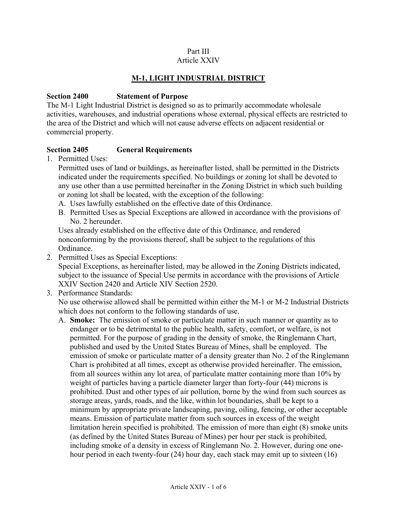#### Part III Article XXIV

# **M-1, LIGHT INDUSTRIAL DISTRICT**

#### **Section 2400 Statement of Purpose**

The M-1 Light Industrial District is designed so as to primarily accommodate wholesale activities, warehouses, and industrial operations whose external, physical effects are restricted to the area of the District and which will not cause adverse effects on adjacent residential or commercial property.

#### **Section 2405 General Requirements**

1. Permitted Uses:

Permitted uses of land or buildings, as hereinafter listed, shall be permitted in the Districts indicated under the requirements specified. No buildings or zoning lot shall be devoted to any use other than a use permitted hereinafter in the Zoning District in which such building or zoning lot shall be located, with the exception of the following:

- A. Uses lawfully established on the effective date of this Ordinance.
- B. Permitted Uses as Special Exceptions are allowed in accordance with the provisions of No. 2 hereunder.

Uses already established on the effective date of this Ordinance, and rendered nonconforming by the provisions thereof, shall be subject to the regulations of this Ordinance.

2. Permitted Uses as Special Exceptions:

Special Exceptions, as hereinafter listed, may be allowed in the Zoning Districts indicated, subject to the issuance of Special Use permits in accordance with the provisions of Article XXIV Section 2420 and Article XIV Section 2520.

3. Performance Standards:

No use otherwise allowed shall be permitted within either the M-1 or M-2 Industrial Districts which does not conform to the following standards of use.

A. **Smoke:** The emission of smoke or particulate matter in such manner or quantity as to endanger or to be detrimental to the public health, safety, comfort, or welfare, is not permitted. For the purpose of grading in the density of smoke, the Ringlemann Chart, published and used by the United States Bureau of Mines, shall be employed. The emission of smoke or particulate matter of a density greater than No. 2 of the Ringlemann Chart is prohibited at all times, except as otherwise provided hereinafter. The emission, from all sources within any lot area, of particulate matter containing more than 10% by weight of particles having a particle diameter larger than forty-four (44) microns is prohibited. Dust and other types of air pollution, borne by the wind from such sources as storage areas, yards, roads, and the like, within lot boundaries, shall be kept to a minimum by appropriate private landscaping, paving, oiling, fencing, or other acceptable means. Emission of particulate matter from such sources in excess of the weight limitation herein specified is prohibited. The emission of more than eight (8) smoke units (as defined by the United States Bureau of Mines) per hour per stack is prohibited, including smoke of a density in excess of Ringlemann No. 2. However, during one onehour period in each twenty-four (24) hour day, each stack may emit up to sixteen (16)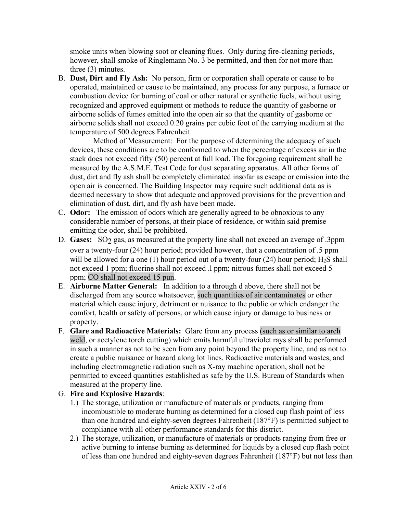smoke units when blowing soot or cleaning flues. Only during fire-cleaning periods, however, shall smoke of Ringlemann No. 3 be permitted, and then for not more than three (3) minutes.

B. **Dust, Dirt and Fly Ash:** No person, firm or corporation shall operate or cause to be operated, maintained or cause to be maintained, any process for any purpose, a furnace or combustion device for burning of coal or other natural or synthetic fuels, without using recognized and approved equipment or methods to reduce the quantity of gasborne or airborne solids of fumes emitted into the open air so that the quantity of gasborne or airborne solids shall not exceed 0.20 grains per cubic foot of the carrying medium at the temperature of 500 degrees Fahrenheit.

Method of Measurement: For the purpose of determining the adequacy of such devices, these conditions are to be conformed to when the percentage of excess air in the stack does not exceed fifty (50) percent at full load. The foregoing requirement shall be measured by the A.S.M.E. Test Code for dust separating apparatus. All other forms of dust, dirt and fly ash shall be completely eliminated insofar as escape or emission into the open air is concerned. The Building Inspector may require such additional data as is deemed necessary to show that adequate and approved provisions for the prevention and elimination of dust, dirt, and fly ash have been made.

- C. **Odor:** The emission of odors which are generally agreed to be obnoxious to any considerable number of persons, at their place of residence, or within said premise emitting the odor, shall be prohibited.
- D. **Gases:** SO<sub>2</sub> gas, as measured at the property line shall not exceed an average of .3ppm over a twenty-four (24) hour period; provided however, that a concentration of .5 ppm will be allowed for a one (1) hour period out of a twenty-four (24) hour period;  $H_2S$  shall not exceed 1 ppm; fluorine shall not exceed .l ppm; nitrous fumes shall not exceed 5 ppm; CO shall not exceed 15 pun.
- E. **Airborne Matter General:** In addition to a through d above, there shall not be discharged from any source whatsoever, such quantities of air contaminates or other material which cause injury, detriment or nuisance to the public or which endanger the comfort, health or safety of persons, or which cause injury or damage to business or property.
- F. **Glare and Radioactive Materials:** Glare from any process (such as or similar to arch weld, or acetylene torch cutting) which emits harmful ultraviolet rays shall be performed in such a manner as not to be seen from any point beyond the property line, and as not to create a public nuisance or hazard along lot lines. Radioactive materials and wastes, and including electromagnetic radiation such as X-ray machine operation, shall not be permitted to exceed quantities established as safe by the U.S. Bureau of Standards when measured at the property line.

### G. **Fire and Explosive Hazards**:

- 1.) The storage, utilization or manufacture of materials or products, ranging from incombustible to moderate burning as determined for a closed cup flash point of less than one hundred and eighty-seven degrees Fahrenheit (187°F) is permitted subject to compliance with all other performance standards for this district.
- 2.) The storage, utilization, or manufacture of materials or products ranging from free or active burning to intense burning as determined for liquids by a closed cup flash point of less than one hundred and eighty-seven degrees Fahrenheit (187°F) but not less than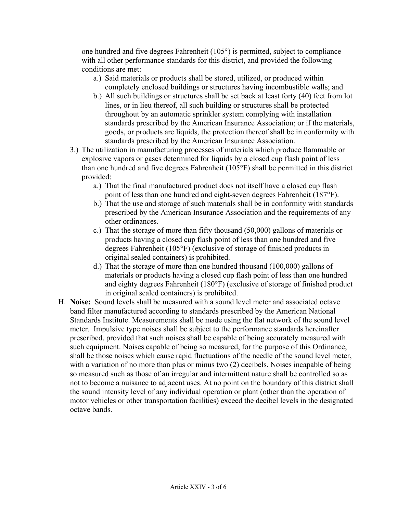one hundred and five degrees Fahrenheit (105°) is permitted, subject to compliance with all other performance standards for this district, and provided the following conditions are met:

- a.) Said materials or products shall be stored, utilized, or produced within completely enclosed buildings or structures having incombustible walls; and
- b.) All such buildings or structures shall be set back at least forty (40) feet from lot lines, or in lieu thereof, all such building or structures shall be protected throughout by an automatic sprinkler system complying with installation standards prescribed by the American Insurance Association; or if the materials, goods, or products are liquids, the protection thereof shall be in conformity with standards prescribed by the American Insurance Association.
- 3.) The utilization in manufacturing processes of materials which produce flammable or explosive vapors or gases determined for liquids by a closed cup flash point of less than one hundred and five degrees Fahrenheit (105°F) shall be permitted in this district provided:
	- a.) That the final manufactured product does not itself have a closed cup flash point of less than one hundred and eight-seven degrees Fahrenheit (187°F).
	- b.) That the use and storage of such materials shall be in conformity with standards prescribed by the American Insurance Association and the requirements of any other ordinances.
	- c.) That the storage of more than fifty thousand (50,000) gallons of materials or products having a closed cup flash point of less than one hundred and five degrees Fahrenheit (105°F) (exclusive of storage of finished products in original sealed containers) is prohibited.
	- d.) That the storage of more than one hundred thousand (100,000) gallons of materials or products having a closed cup flash point of less than one hundred and eighty degrees Fahrenheit (180°F) (exclusive of storage of finished product in original sealed containers) is prohibited.
- H. **Noise:** Sound levels shall be measured with a sound level meter and associated octave band filter manufactured according to standards prescribed by the American National Standards Institute. Measurements shall be made using the flat network of the sound level meter. Impulsive type noises shall be subject to the performance standards hereinafter prescribed, provided that such noises shall be capable of being accurately measured with such equipment. Noises capable of being so measured, for the purpose of this Ordinance, shall be those noises which cause rapid fluctuations of the needle of the sound level meter, with a variation of no more than plus or minus two (2) decibels. Noises incapable of being so measured such as those of an irregular and intermittent nature shall be controlled so as not to become a nuisance to adjacent uses. At no point on the boundary of this district shall the sound intensity level of any individual operation or plant (other than the operation of motor vehicles or other transportation facilities) exceed the decibel levels in the designated octave bands.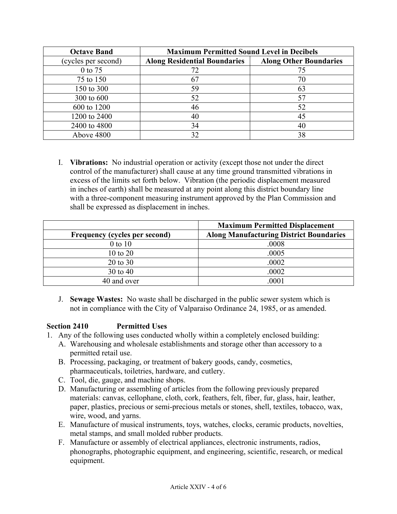| <b>Octave Band</b>  | <b>Maximum Permitted Sound Level in Decibels</b> |                               |
|---------------------|--------------------------------------------------|-------------------------------|
| (cycles per second) | <b>Along Residential Boundaries</b>              | <b>Along Other Boundaries</b> |
| 0 to 75             | 72                                               | 75                            |
| 75 to 150           | 67                                               | 70                            |
| 150 to 300          | 59                                               | 63                            |
| 300 to 600          | 52                                               | 57                            |
| 600 to 1200         | 46                                               | 52                            |
| 1200 to 2400        | 40                                               | 45                            |
| 2400 to 4800        | 34                                               | 40                            |
| Above 4800          | 32                                               | 38                            |

I. **Vibrations:** No industrial operation or activity (except those not under the direct control of the manufacturer) shall cause at any time ground transmitted vibrations in excess of the limits set forth below. Vibration (the periodic displacement measured in inches of earth) shall be measured at any point along this district boundary line with a three-component measuring instrument approved by the Plan Commission and shall be expressed as displacement in inches.

|                               | <b>Maximum Permitted Displacement</b>          |
|-------------------------------|------------------------------------------------|
| Frequency (cycles per second) | <b>Along Manufacturing District Boundaries</b> |
| $0$ to $10$                   | .0008                                          |
| 10 to 20                      | .0005                                          |
| 20 to 30                      | .0002                                          |
| 30 to 40                      | .0002                                          |
| 40 and over                   | 0001                                           |

J. **Sewage Wastes:** No waste shall be discharged in the public sewer system which is not in compliance with the City of Valparaiso Ordinance 24, 1985, or as amended.

### **Section 2410 Permitted Uses**

- 1. Any of the following uses conducted wholly within a completely enclosed building:
	- A. Warehousing and wholesale establishments and storage other than accessory to a permitted retail use.
	- B. Processing, packaging, or treatment of bakery goods, candy, cosmetics, pharmaceuticals, toiletries, hardware, and cutlery.
	- C. Tool, die, gauge, and machine shops.
	- D. Manufacturing or assembling of articles from the following previously prepared materials: canvas, cellophane, cloth, cork, feathers, felt, fiber, fur, glass, hair, leather, paper, plastics, precious or semi-precious metals or stones, shell, textiles, tobacco, wax, wire, wood, and yarns.
	- E. Manufacture of musical instruments, toys, watches, clocks, ceramic products, novelties, metal stamps, and small molded rubber products.
	- F. Manufacture or assembly of electrical appliances, electronic instruments, radios, phonographs, photographic equipment, and engineering, scientific, research, or medical equipment.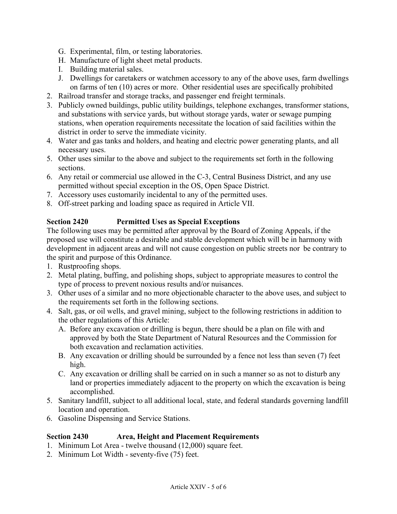- G. Experimental, film, or testing laboratories.
- H. Manufacture of light sheet metal products.
- I. Building material sales.
- J. Dwellings for caretakers or watchmen accessory to any of the above uses, farm dwellings on farms of ten (10) acres or more. Other residential uses are specifically prohibited
- 2. Railroad transfer and storage tracks, and passenger end freight terminals.
- 3. Publicly owned buildings, public utility buildings, telephone exchanges, transformer stations, and substations with service yards, but without storage yards, water or sewage pumping stations, when operation requirements necessitate the location of said facilities within the district in order to serve the immediate vicinity.
- 4. Water and gas tanks and holders, and heating and electric power generating plants, and all necessary uses.
- 5. Other uses similar to the above and subject to the requirements set forth in the following sections.
- 6. Any retail or commercial use allowed in the C-3, Central Business District, and any use permitted without special exception in the OS, Open Space District.
- 7. Accessory uses customarily incidental to any of the permitted uses.
- 8. Off-street parking and loading space as required in Article VII.

### **Section 2420 Permitted Uses as Special Exceptions**

The following uses may be permitted after approval by the Board of Zoning Appeals, if the proposed use will constitute a desirable and stable development which will be in harmony with development in adjacent areas and will not cause congestion on public streets nor be contrary to the spirit and purpose of this Ordinance.

- 1. Rustproofing shops.
- 2. Metal plating, buffing, and polishing shops, subject to appropriate measures to control the type of process to prevent noxious results and/or nuisances.
- 3. Other uses of a similar and no more objectionable character to the above uses, and subject to the requirements set forth in the following sections.
- 4. Salt, gas, or oil wells, and gravel mining, subject to the following restrictions in addition to the other regulations of this Article:
	- A. Before any excavation or drilling is begun, there should be a plan on file with and approved by both the State Department of Natural Resources and the Commission for both excavation and reclamation activities.
	- B. Any excavation or drilling should be surrounded by a fence not less than seven (7) feet high.
	- C. Any excavation or drilling shall be carried on in such a manner so as not to disturb any land or properties immediately adjacent to the property on which the excavation is being accomplished.
- 5. Sanitary landfill, subject to all additional local, state, and federal standards governing landfill location and operation.
- 6. Gasoline Dispensing and Service Stations.

# **Section 2430 Area, Height and Placement Requirements**

- 1. Minimum Lot Area twelve thousand (12,000) square feet.
- 2. Minimum Lot Width seventy-five (75) feet.